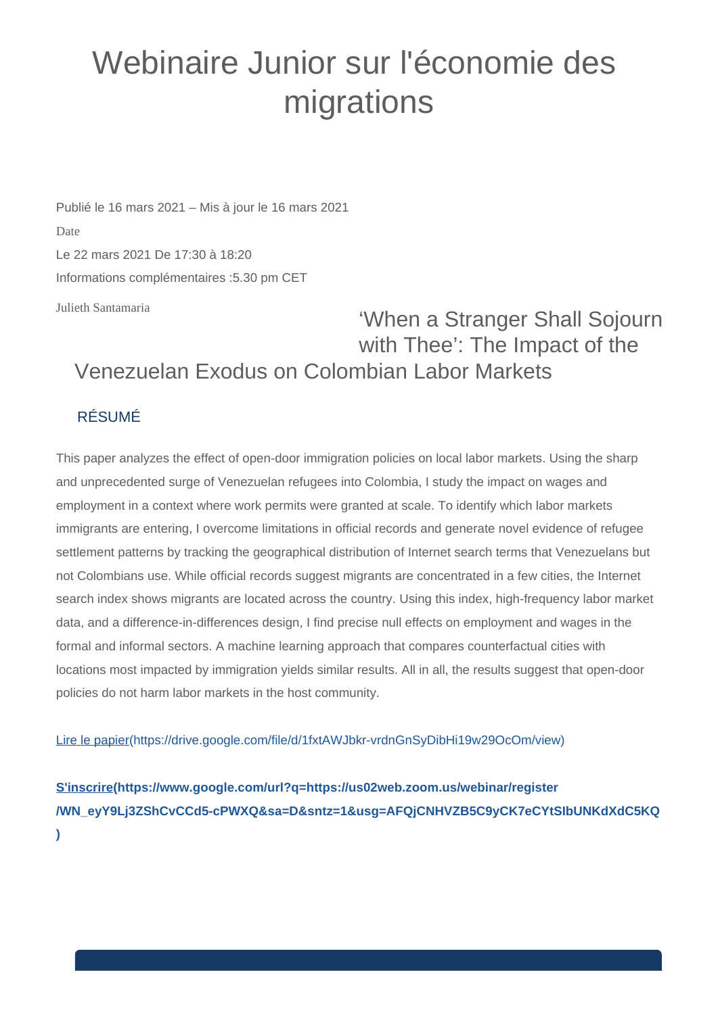## Webinaire Junior sur l'économie des migrations

Publié le 16 mars 2021 – Mis à jour le 16 mars 2021 Date Le 22 mars 2021 De 17:30 à 18:20 Informations complémentaires :5.30 pm CET

Julieth Santamaria

## 'When a Stranger Shall Sojourn with Thee': The Impact of the Venezuelan Exodus on Colombian Labor Markets

## RÉSUMÉ

This paper analyzes the effect of open-door immigration policies on local labor markets. Using the sharp and unprecedented surge of Venezuelan refugees into Colombia, I study the impact on wages and employment in a context where work permits were granted at scale. To identify which labor markets immigrants are entering, I overcome limitations in official records and generate novel evidence of refugee settlement patterns by tracking the geographical distribution of Internet search terms that Venezuelans but not Colombians use. While official records suggest migrants are concentrated in a few cities, the Internet search index shows migrants are located across the country. Using this index, high-frequency labor market data, and a difference-in-differences design, I find precise null effects on employment and wages in the formal and informal sectors. A machine learning approach that compares counterfactual cities with locations most impacted by immigration yields similar results. All in all, the results suggest that open-door policies do not harm labor markets in the host community.

[Lire le papier\(https://drive.google.com/file/d/1fxtAWJbkr-vrdnGnSyDibHi19w29OcOm/view\)](https://drive.google.com/file/d/1fxtAWJbkr-vrdnGnSyDibHi19w29OcOm/view)

**[S'inscrire\(https://www.google.com/url?q=https://us02web.zoom.us/webinar/register](https://www.google.com/url?q=https://us02web.zoom.us/webinar/register/WN_eyY9Lj3ZShCvCCd5-cPWXQ&sa=D&sntz=1&usg=AFQjCNHVZB5C9yCK7eCYtSIbUNKdXdC5KQ) [/WN\\_eyY9Lj3ZShCvCCd5-cPWXQ&sa=D&sntz=1&usg=AFQjCNHVZB5C9yCK7eCYtSIbUNKdXdC5KQ](https://www.google.com/url?q=https://us02web.zoom.us/webinar/register/WN_eyY9Lj3ZShCvCCd5-cPWXQ&sa=D&sntz=1&usg=AFQjCNHVZB5C9yCK7eCYtSIbUNKdXdC5KQ) [\)](https://www.google.com/url?q=https://us02web.zoom.us/webinar/register/WN_eyY9Lj3ZShCvCCd5-cPWXQ&sa=D&sntz=1&usg=AFQjCNHVZB5C9yCK7eCYtSIbUNKdXdC5KQ)**